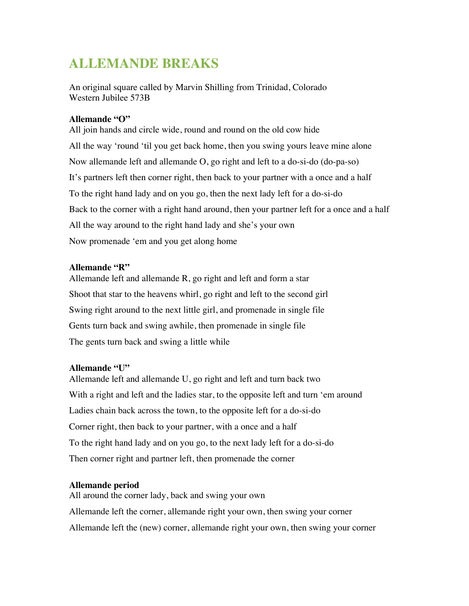# **ALLEMANDE BREAKS**

An original square called by Marvin Shilling from Trinidad, Colorado Western Jubilee 573B

## **Allemande "O"**

All join hands and circle wide, round and round on the old cow hide All the way 'round 'til you get back home, then you swing yours leave mine alone Now allemande left and allemande O, go right and left to a do-si-do (do-pa-so) It's partners left then corner right, then back to your partner with a once and a half To the right hand lady and on you go, then the next lady left for a do-si-do Back to the corner with a right hand around, then your partner left for a once and a half All the way around to the right hand lady and she's your own Now promenade 'em and you get along home

## **Allemande "R"**

Allemande left and allemande R, go right and left and form a star Shoot that star to the heavens whirl, go right and left to the second girl Swing right around to the next little girl, and promenade in single file Gents turn back and swing awhile, then promenade in single file The gents turn back and swing a little while

#### **Allemande "U"**

Allemande left and allemande U, go right and left and turn back two With a right and left and the ladies star, to the opposite left and turn 'em around Ladies chain back across the town, to the opposite left for a do-si-do Corner right, then back to your partner, with a once and a half To the right hand lady and on you go, to the next lady left for a do-si-do Then corner right and partner left, then promenade the corner

# **Allemande period**

All around the corner lady, back and swing your own Allemande left the corner, allemande right your own, then swing your corner Allemande left the (new) corner, allemande right your own, then swing your corner